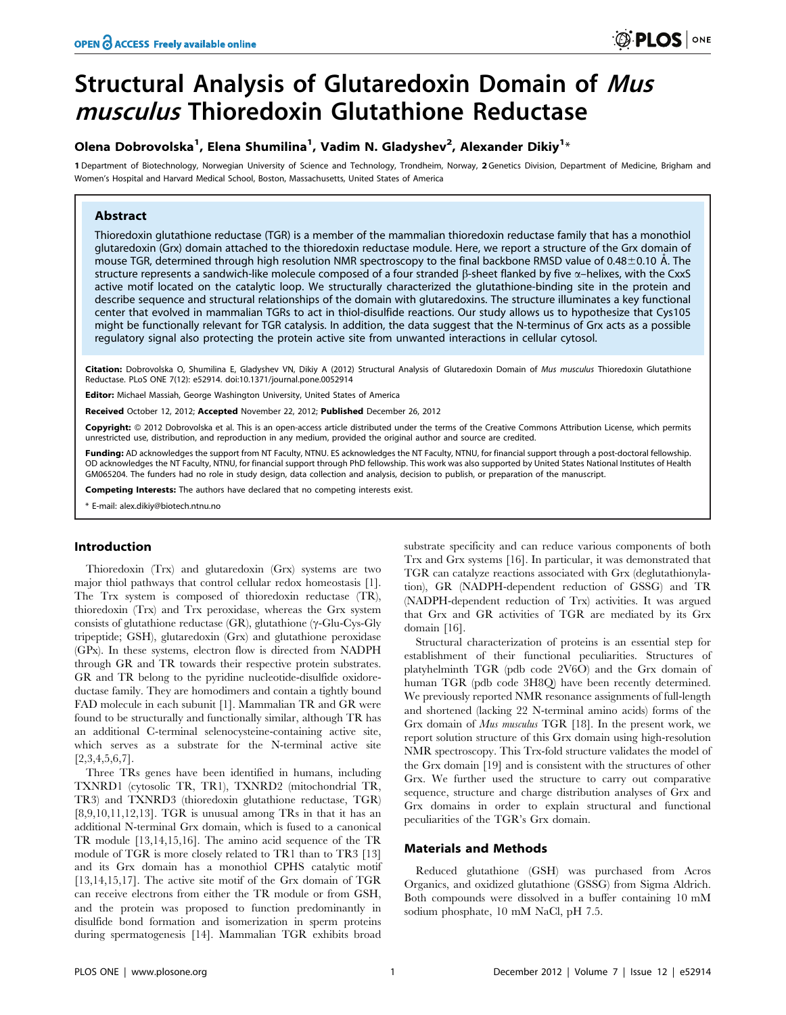# Structural Analysis of Glutaredoxin Domain of Mus musculus Thioredoxin Glutathione Reductase

## Olena Dobrovolska<sup>1</sup>, Elena Shumilina<sup>1</sup>, Vadim N. Gladyshev<sup>2</sup>, Alexander Dikiy<sup>1</sup>\*

1 Department of Biotechnology, Norwegian University of Science and Technology, Trondheim, Norway, 2 Genetics Division, Department of Medicine, Brigham and Women's Hospital and Harvard Medical School, Boston, Massachusetts, United States of America

## Abstract

Thioredoxin glutathione reductase (TGR) is a member of the mammalian thioredoxin reductase family that has a monothiol glutaredoxin (Grx) domain attached to the thioredoxin reductase module. Here, we report a structure of the Grx domain of mouse TGR, determined through high resolution NMR spectroscopy to the final backbone RMSD value of 0.48 $\pm$ 0.10 Å. The structure represents a sandwich-like molecule composed of a four stranded  $\beta$ -sheet flanked by five  $\alpha$ -helixes, with the CxxS active motif located on the catalytic loop. We structurally characterized the glutathione-binding site in the protein and describe sequence and structural relationships of the domain with glutaredoxins. The structure illuminates a key functional center that evolved in mammalian TGRs to act in thiol-disulfide reactions. Our study allows us to hypothesize that Cys105 might be functionally relevant for TGR catalysis. In addition, the data suggest that the N-terminus of Grx acts as a possible regulatory signal also protecting the protein active site from unwanted interactions in cellular cytosol.

Citation: Dobrovolska O, Shumilina E, Gladyshev VN, Dikiy A (2012) Structural Analysis of Glutaredoxin Domain of Mus musculus Thioredoxin Glutathione Reductase. PLoS ONE 7(12): e52914. doi:10.1371/journal.pone.0052914

Editor: Michael Massiah, George Washington University, United States of America

Received October 12, 2012; Accepted November 22, 2012; Published December 26, 2012

**Copyright:** © 2012 Dobrovolska et al. This is an open-access article distributed under the terms of the Creative Commons Attribution License, which permits unrestricted use, distribution, and reproduction in any medium, provided the original author and source are credited.

Funding: AD acknowledges the support from NT Faculty, NTNU. ES acknowledges the NT Faculty, NTNU, for financial support through a post-doctoral fellowship. OD acknowledges the NT Faculty, NTNU, for financial support through PhD fellowship. This work was also supported by United States National Institutes of Health GM065204. The funders had no role in study design, data collection and analysis, decision to publish, or preparation of the manuscript.

Competing Interests: The authors have declared that no competing interests exist.

\* E-mail: alex.dikiy@biotech.ntnu.no

## Introduction

Thioredoxin (Trx) and glutaredoxin (Grx) systems are two major thiol pathways that control cellular redox homeostasis [1]. The Trx system is composed of thioredoxin reductase (TR), thioredoxin (Trx) and Trx peroxidase, whereas the Grx system consists of glutathione reductase (GR), glutathione ( $\gamma$ -Glu-Cys-Gly tripeptide; GSH), glutaredoxin (Grx) and glutathione peroxidase (GPx). In these systems, electron flow is directed from NADPH through GR and TR towards their respective protein substrates. GR and TR belong to the pyridine nucleotide-disulfide oxidoreductase family. They are homodimers and contain a tightly bound FAD molecule in each subunit [1]. Mammalian TR and GR were found to be structurally and functionally similar, although TR has an additional C-terminal selenocysteine-containing active site, which serves as a substrate for the N-terminal active site  $[2,3,4,5,6,7]$ .

Three TRs genes have been identified in humans, including TXNRD1 (cytosolic TR, TR1), TXNRD2 (mitochondrial TR, TR3) and TXNRD3 (thioredoxin glutathione reductase, TGR) [8,9,10,11,12,13]. TGR is unusual among TRs in that it has an additional N-terminal Grx domain, which is fused to a canonical TR module [13,14,15,16]. The amino acid sequence of the TR module of TGR is more closely related to TR1 than to TR3 [13] and its Grx domain has a monothiol CPHS catalytic motif [13,14,15,17]. The active site motif of the Grx domain of TGR can receive electrons from either the TR module or from GSH, and the protein was proposed to function predominantly in disulfide bond formation and isomerization in sperm proteins during spermatogenesis [14]. Mammalian TGR exhibits broad

substrate specificity and can reduce various components of both Trx and Grx systems [16]. In particular, it was demonstrated that TGR can catalyze reactions associated with Grx (deglutathionylation), GR (NADPH-dependent reduction of GSSG) and TR (NADPH-dependent reduction of Trx) activities. It was argued that Grx and GR activities of TGR are mediated by its Grx domain [16].

Structural characterization of proteins is an essential step for establishment of their functional peculiarities. Structures of platyhelminth TGR (pdb code 2V6O) and the Grx domain of human TGR (pdb code 3H8Q) have been recently determined. We previously reported NMR resonance assignments of full-length and shortened (lacking 22 N-terminal amino acids) forms of the Grx domain of Mus musculus TGR [18]. In the present work, we report solution structure of this Grx domain using high-resolution NMR spectroscopy. This Trx-fold structure validates the model of the Grx domain [19] and is consistent with the structures of other Grx. We further used the structure to carry out comparative sequence, structure and charge distribution analyses of Grx and Grx domains in order to explain structural and functional peculiarities of the TGR's Grx domain.

## Materials and Methods

Reduced glutathione (GSH) was purchased from Acros Organics, and oxidized glutathione (GSSG) from Sigma Aldrich. Both compounds were dissolved in a buffer containing 10 mM sodium phosphate, 10 mM NaCl, pH 7.5.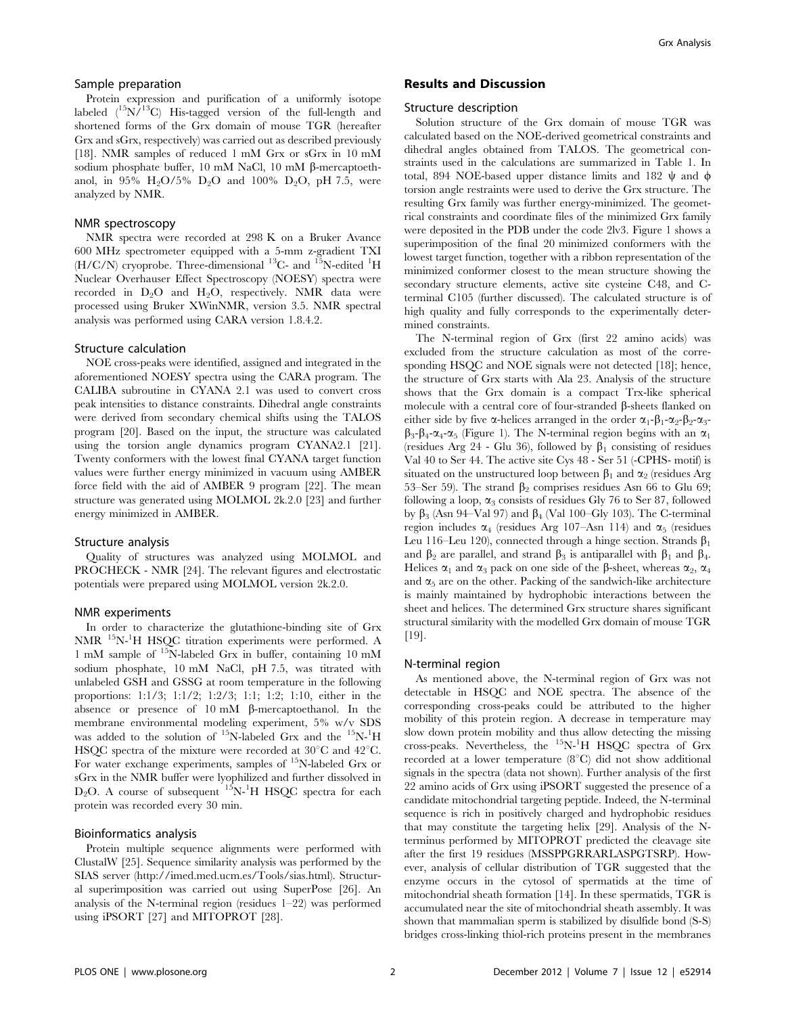## Sample preparation

Protein expression and purification of a uniformly isotope labeled  $(^{15}N)^{13}C$ ) His-tagged version of the full-length and shortened forms of the Grx domain of mouse TGR (hereafter Grx and sGrx, respectively) was carried out as described previously [18]. NMR samples of reduced 1 mM Grx or sGrx in 10 mM sodium phosphate buffer, 10 mM NaCl, 10 mM  $\beta$ -mercaptoethanol, in 95%  $H_2O/5\%$   $D_2O$  and 100%  $D_2O$ , pH 7.5, were analyzed by NMR.

## NMR spectroscopy

NMR spectra were recorded at 298 K on a Bruker Avance 600 MHz spectrometer equipped with a 5-mm z-gradient TXI  $(H/C/N)$  cryoprobe. Three-dimensional <sup>13</sup>C- and <sup>15</sup>N-edited <sup>1</sup>H Nuclear Overhauser Effect Spectroscopy (NOESY) spectra were recorded in  $D_2O$  and  $H_2O$ , respectively. NMR data were processed using Bruker XWinNMR, version 3.5. NMR spectral analysis was performed using CARA version 1.8.4.2.

#### Structure calculation

NOE cross-peaks were identified, assigned and integrated in the aforementioned NOESY spectra using the CARA program. The CALIBA subroutine in CYANA 2.1 was used to convert cross peak intensities to distance constraints. Dihedral angle constraints were derived from secondary chemical shifts using the TALOS program [20]. Based on the input, the structure was calculated using the torsion angle dynamics program CYANA2.1 [21]. Twenty conformers with the lowest final CYANA target function values were further energy minimized in vacuum using AMBER force field with the aid of AMBER 9 program [22]. The mean structure was generated using MOLMOL 2k.2.0 [23] and further energy minimized in AMBER.

#### Structure analysis

Quality of structures was analyzed using MOLMOL and PROCHECK - NMR [24]. The relevant figures and electrostatic potentials were prepared using MOLMOL version 2k.2.0.

#### NMR experiments

In order to characterize the glutathione-binding site of Grx NMR 15N-1 H HSQC titration experiments were performed. A 1 mM sample of 15N-labeled Grx in buffer, containing 10 mM sodium phosphate, 10 mM NaCl, pH 7.5, was titrated with unlabeled GSH and GSSG at room temperature in the following proportions: 1:1/3; 1:1/2; 1:2/3; 1:1; 1:2; 1:10, either in the absence or presence of  $10 \text{ mM}$   $\beta$ -mercaptoethanol. In the membrane environmental modeling experiment, 5% w/v SDS was added to the solution of <sup>15</sup>N-labeled Grx and the <sup>15</sup>N-<sup>1</sup>H HSQC spectra of the mixture were recorded at  $30^{\circ}$ C and  $42^{\circ}$ C. For water exchange experiments, samples of <sup>15</sup>N-labeled Grx or sGrx in the NMR buffer were lyophilized and further dissolved in  $D_2O$ . A course of subsequent  $15N^{-1}H$  HSQC spectra for each protein was recorded every 30 min.

#### Bioinformatics analysis

Protein multiple sequence alignments were performed with ClustalW [25]. Sequence similarity analysis was performed by the SIAS server (http://imed.med.ucm.es/Tools/sias.html). Structural superimposition was carried out using SuperPose [26]. An analysis of the N-terminal region (residues 1–22) was performed using iPSORT [27] and MITOPROT [28].

## Results and Discussion

#### Structure description

Solution structure of the Grx domain of mouse TGR was calculated based on the NOE-derived geometrical constraints and dihedral angles obtained from TALOS. The geometrical constraints used in the calculations are summarized in Table 1. In total, 894 NOE-based upper distance limits and 182  $\psi$  and  $\phi$ torsion angle restraints were used to derive the Grx structure. The resulting Grx family was further energy-minimized. The geometrical constraints and coordinate files of the minimized Grx family were deposited in the PDB under the code 2lv3. Figure 1 shows a superimposition of the final 20 minimized conformers with the lowest target function, together with a ribbon representation of the minimized conformer closest to the mean structure showing the secondary structure elements, active site cysteine C48, and Cterminal C105 (further discussed). The calculated structure is of high quality and fully corresponds to the experimentally determined constraints.

The N-terminal region of Grx (first 22 amino acids) was excluded from the structure calculation as most of the corresponding HSQC and NOE signals were not detected [18]; hence, the structure of Grx starts with Ala 23. Analysis of the structure shows that the Grx domain is a compact Trx-like spherical molecule with a central core of four-stranded  $\beta$ -sheets flanked on either side by five  $\alpha$ -helices arranged in the order  $\alpha_1$ - $\beta_1$ - $\alpha_2$ - $\beta_2$ - $\alpha_3$ - $\beta_3-\beta_4-\alpha_4-\alpha_5$  (Figure 1). The N-terminal region begins with an  $\alpha_1$ (residues Arg 24 - Glu 36), followed by  $\beta_1$  consisting of residues Val 40 to Ser 44. The active site Cys 48 - Ser 51 (-CPHS- motif) is situated on the unstructured loop between  $\beta_1$  and  $\alpha_2$  (residues Arg 53–Ser 59). The strand  $\beta_2$  comprises residues Asn 66 to Glu 69; following a loop,  $\alpha_3$  consists of residues Gly 76 to Ser 87, followed by  $\beta_3$  (Asn 94–Val 97) and  $\beta_4$  (Val 100–Gly 103). The C-terminal region includes  $\alpha_4$  (residues Arg 107–Asn 114) and  $\alpha_5$  (residues Leu 116–Leu 120), connected through a hinge section. Strands  $\beta_1$ and  $\beta_2$  are parallel, and strand  $\beta_3$  is antiparallel with  $\beta_1$  and  $\beta_4$ . Helices  $\alpha_1$  and  $\alpha_3$  pack on one side of the  $\beta$ -sheet, whereas  $\alpha_2$ ,  $\alpha_4$ and  $\alpha_5$  are on the other. Packing of the sandwich-like architecture is mainly maintained by hydrophobic interactions between the sheet and helices. The determined Grx structure shares significant structural similarity with the modelled Grx domain of mouse TGR [19].

#### N-terminal region

As mentioned above, the N-terminal region of Grx was not detectable in HSQC and NOE spectra. The absence of the corresponding cross-peaks could be attributed to the higher mobility of this protein region. A decrease in temperature may slow down protein mobility and thus allow detecting the missing cross-peaks. Nevertheless, the <sup>15</sup>N-<sup>1</sup>H HSQC spectra of Grx recorded at a lower temperature  $(8^{\circ}C)$  did not show additional signals in the spectra (data not shown). Further analysis of the first 22 amino acids of Grx using iPSORT suggested the presence of a candidate mitochondrial targeting peptide. Indeed, the N-terminal sequence is rich in positively charged and hydrophobic residues that may constitute the targeting helix [29]. Analysis of the Nterminus performed by MITOPROT predicted the cleavage site after the first 19 residues (MSSPPGRRARLASPGTSRP). However, analysis of cellular distribution of TGR suggested that the enzyme occurs in the cytosol of spermatids at the time of mitochondrial sheath formation [14]. In these spermatids, TGR is accumulated near the site of mitochondrial sheath assembly. It was shown that mammalian sperm is stabilized by disulfide bond (S-S) bridges cross-linking thiol-rich proteins present in the membranes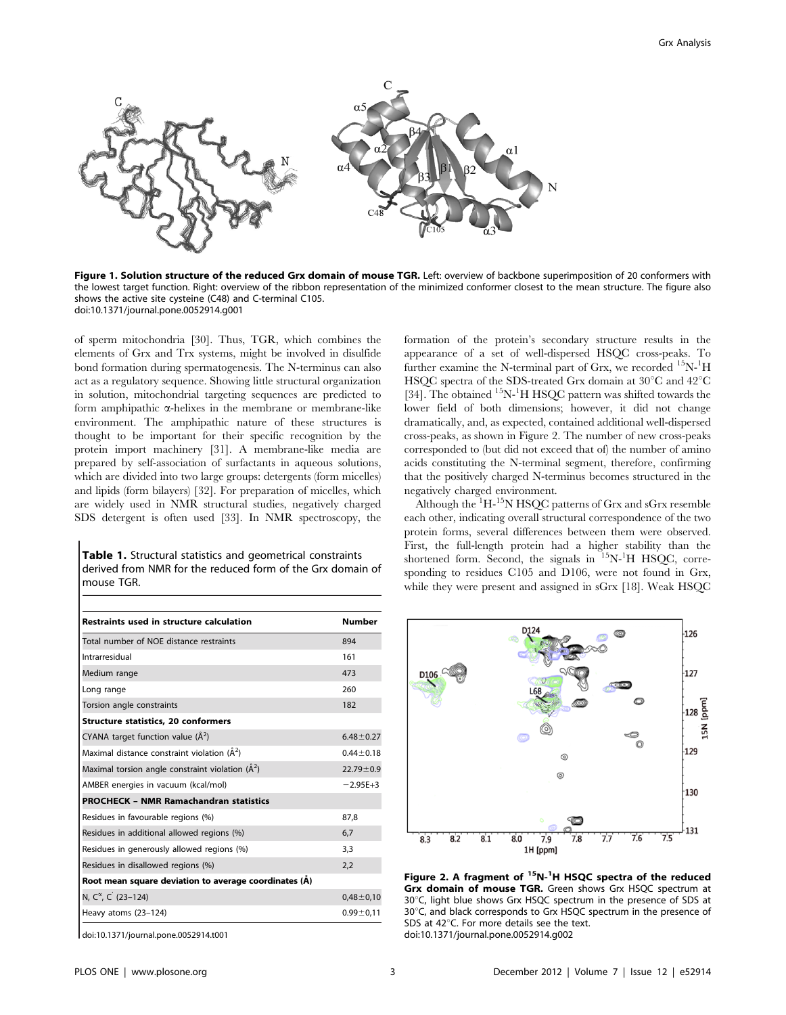

Figure 1. Solution structure of the reduced Grx domain of mouse TGR. Left: overview of backbone superimposition of 20 conformers with the lowest target function. Right: overview of the ribbon representation of the minimized conformer closest to the mean structure. The figure also shows the active site cysteine (C48) and C-terminal C105. doi:10.1371/journal.pone.0052914.g001

of sperm mitochondria [30]. Thus, TGR, which combines the elements of Grx and Trx systems, might be involved in disulfide bond formation during spermatogenesis. The N-terminus can also act as a regulatory sequence. Showing little structural organization in solution, mitochondrial targeting sequences are predicted to form amphipathic  $\alpha$ -helixes in the membrane or membrane-like environment. The amphipathic nature of these structures is thought to be important for their specific recognition by the protein import machinery [31]. A membrane-like media are prepared by self-association of surfactants in aqueous solutions, which are divided into two large groups: detergents (form micelles) and lipids (form bilayers) [32]. For preparation of micelles, which are widely used in NMR structural studies, negatively charged SDS detergent is often used [33]. In NMR spectroscopy, the

Table 1. Structural statistics and geometrical constraints derived from NMR for the reduced form of the Grx domain of mouse TGR.

| <b>Restraints used in structure calculation</b>       | Number          |
|-------------------------------------------------------|-----------------|
| Total number of NOE distance restraints               | 894             |
| Intrarresidual                                        | 161             |
| Medium range                                          | 473             |
| Long range                                            | 260             |
| Torsion angle constraints                             | 182             |
| <b>Structure statistics, 20 conformers</b>            |                 |
| CYANA target function value $(\tilde{A}^2)$           | $6.48 \pm 0.27$ |
| Maximal distance constraint violation $(\AA^2)$       | $0.44 \pm 0.18$ |
| Maximal torsion angle constraint violation $(\AA^2)$  | $22.79 \pm 0.9$ |
| AMBER energies in vacuum (kcal/mol)                   | $-2.95E + 3$    |
| <b>PROCHECK - NMR Ramachandran statistics</b>         |                 |
| Residues in favourable regions (%)                    | 87,8            |
| Residues in additional allowed regions (%)            | 6,7             |
| Residues in generously allowed regions (%)            | 3,3             |
| Residues in disallowed regions (%)                    | 2,2             |
| Root mean square deviation to average coordinates (A) |                 |
| N, C <sup>a</sup> , C <sup>'</sup> (23-124)           | $0,48 \pm 0,10$ |
| Heavy atoms (23-124)                                  | $0.99 + 0.11$   |

doi:10.1371/journal.pone.0052914.t001

formation of the protein's secondary structure results in the appearance of a set of well-dispersed HSQC cross-peaks. To further examine the N-terminal part of Grx, we recorded <sup>15</sup>N-<sup>1</sup>H HSQC spectra of the SDS-treated Grx domain at  $30^{\circ}$ C and  $42^{\circ}$ C [34]. The obtained <sup>15</sup>N-<sup>1</sup>H HSQC pattern was shifted towards the lower field of both dimensions; however, it did not change dramatically, and, as expected, contained additional well-dispersed cross-peaks, as shown in Figure 2. The number of new cross-peaks corresponded to (but did not exceed that of) the number of amino acids constituting the N-terminal segment, therefore, confirming that the positively charged N-terminus becomes structured in the negatively charged environment.

Although the  $\mathrm{^{1}H\text{-}^{15}N}$  HSQC patterns of Grx and sGrx resemble each other, indicating overall structural correspondence of the two protein forms, several differences between them were observed. First, the full-length protein had a higher stability than the shortened form. Second, the signals in <sup>15</sup>N-<sup>1</sup>H HSQC, corresponding to residues C105 and D106, were not found in Grx, while they were present and assigned in sGrx [18]. Weak HSQC



Figure 2. A fragment of <sup>15</sup>N-<sup>1</sup>H HSQC spectra of the reduced Grx domain of mouse TGR. Green shows Grx HSQC spectrum at  $30^{\circ}$ C, light blue shows Grx HSQC spectrum in the presence of SDS at 30°C, and black corresponds to Grx HSQC spectrum in the presence of SDS at  $42^{\circ}$ C. For more details see the text. doi:10.1371/journal.pone.0052914.g002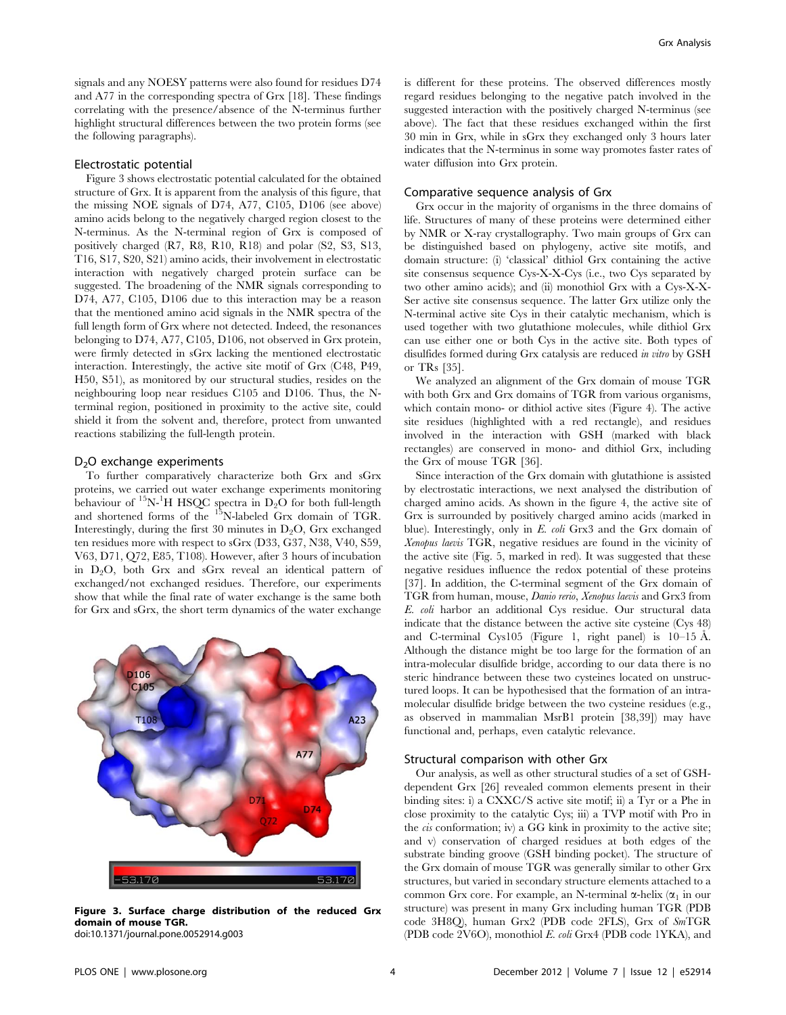signals and any NOESY patterns were also found for residues D74 and A77 in the corresponding spectra of Grx [18]. These findings correlating with the presence/absence of the N-terminus further highlight structural differences between the two protein forms (see the following paragraphs).

#### Electrostatic potential

Figure 3 shows electrostatic potential calculated for the obtained structure of Grx. It is apparent from the analysis of this figure, that the missing NOE signals of D74, A77, C105, D106 (see above) amino acids belong to the negatively charged region closest to the N-terminus. As the N-terminal region of Grx is composed of positively charged (R7, R8, R10, R18) and polar (S2, S3, S13, T16, S17, S20, S21) amino acids, their involvement in electrostatic interaction with negatively charged protein surface can be suggested. The broadening of the NMR signals corresponding to D74, A77, C105, D106 due to this interaction may be a reason that the mentioned amino acid signals in the NMR spectra of the full length form of Grx where not detected. Indeed, the resonances belonging to D74, A77, C105, D106, not observed in Grx protein, were firmly detected in sGrx lacking the mentioned electrostatic interaction. Interestingly, the active site motif of Grx (C48, P49, H50, S51), as monitored by our structural studies, resides on the neighbouring loop near residues C105 and D106. Thus, the Nterminal region, positioned in proximity to the active site, could shield it from the solvent and, therefore, protect from unwanted reactions stabilizing the full-length protein.

#### $D<sub>2</sub>O$  exchange experiments

To further comparatively characterize both Grx and sGrx proteins, we carried out water exchange experiments monitoring behaviour of  ${}^{15}N$ -<sup>1</sup>H HSQC spectra in D<sub>2</sub>O for both full-length and shortened forms of the <sup>15</sup>N-labeled Grx domain of TGR. Interestingly, during the first 30 minutes in  $D_2O$ , Grx exchanged ten residues more with respect to sGrx (D33, G37, N38, V40, S59, V63, D71, Q72, E85, T108). However, after 3 hours of incubation in  $D_2O$ , both Grx and sGrx reveal an identical pattern of exchanged/not exchanged residues. Therefore, our experiments show that while the final rate of water exchange is the same both for Grx and sGrx, the short term dynamics of the water exchange



Figure 3. Surface charge distribution of the reduced Grx domain of mouse TGR. doi:10.1371/journal.pone.0052914.g003

is different for these proteins. The observed differences mostly regard residues belonging to the negative patch involved in the suggested interaction with the positively charged N-terminus (see above). The fact that these residues exchanged within the first 30 min in Grx, while in sGrx they exchanged only 3 hours later indicates that the N-terminus in some way promotes faster rates of water diffusion into Grx protein.

#### Comparative sequence analysis of Grx

Grx occur in the majority of organisms in the three domains of life. Structures of many of these proteins were determined either by NMR or X-ray crystallography. Two main groups of Grx can be distinguished based on phylogeny, active site motifs, and domain structure: (i) 'classical' dithiol Grx containing the active site consensus sequence Cys-X-X-Cys (i.e., two Cys separated by two other amino acids); and (ii) monothiol Grx with a Cys-X-X-Ser active site consensus sequence. The latter Grx utilize only the N-terminal active site Cys in their catalytic mechanism, which is used together with two glutathione molecules, while dithiol Grx can use either one or both Cys in the active site. Both types of disulfides formed during Grx catalysis are reduced in vitro by GSH or TRs [35].

We analyzed an alignment of the Grx domain of mouse TGR with both Grx and Grx domains of TGR from various organisms, which contain mono- or dithiol active sites (Figure 4). The active site residues (highlighted with a red rectangle), and residues involved in the interaction with GSH (marked with black rectangles) are conserved in mono- and dithiol Grx, including the Grx of mouse TGR [36].

Since interaction of the Grx domain with glutathione is assisted by electrostatic interactions, we next analysed the distribution of charged amino acids. As shown in the figure 4, the active site of Grx is surrounded by positively charged amino acids (marked in blue). Interestingly, only in E. coli Grx3 and the Grx domain of Xenopus laevis TGR, negative residues are found in the vicinity of the active site (Fig. 5, marked in red). It was suggested that these negative residues influence the redox potential of these proteins [37]. In addition, the C-terminal segment of the Grx domain of TGR from human, mouse, Danio rerio, Xenopus laevis and Grx3 from E. coli harbor an additional Cys residue. Our structural data indicate that the distance between the active site cysteine (Cys 48) and C-terminal Cys105 (Figure 1, right panel) is  $10-15$  Å. Although the distance might be too large for the formation of an intra-molecular disulfide bridge, according to our data there is no steric hindrance between these two cysteines located on unstructured loops. It can be hypothesised that the formation of an intramolecular disulfide bridge between the two cysteine residues (e.g., as observed in mammalian MsrB1 protein [38,39]) may have functional and, perhaps, even catalytic relevance.

#### Structural comparison with other Grx

Our analysis, as well as other structural studies of a set of GSHdependent Grx [26] revealed common elements present in their binding sites: i) a CXXC/S active site motif; ii) a Tyr or a Phe in close proximity to the catalytic Cys; iii) a TVP motif with Pro in the cis conformation; iv) a GG kink in proximity to the active site; and v) conservation of charged residues at both edges of the substrate binding groove (GSH binding pocket). The structure of the Grx domain of mouse TGR was generally similar to other Grx structures, but varied in secondary structure elements attached to a common Grx core. For example, an N-terminal  $\alpha$ -helix  $(\alpha_1$  in our structure) was present in many Grx including human TGR (PDB code 3H8Q), human Grx2 (PDB code 2FLS), Grx of SmTGR (PDB code 2V6O), monothiol E. coli Grx4 (PDB code 1YKA), and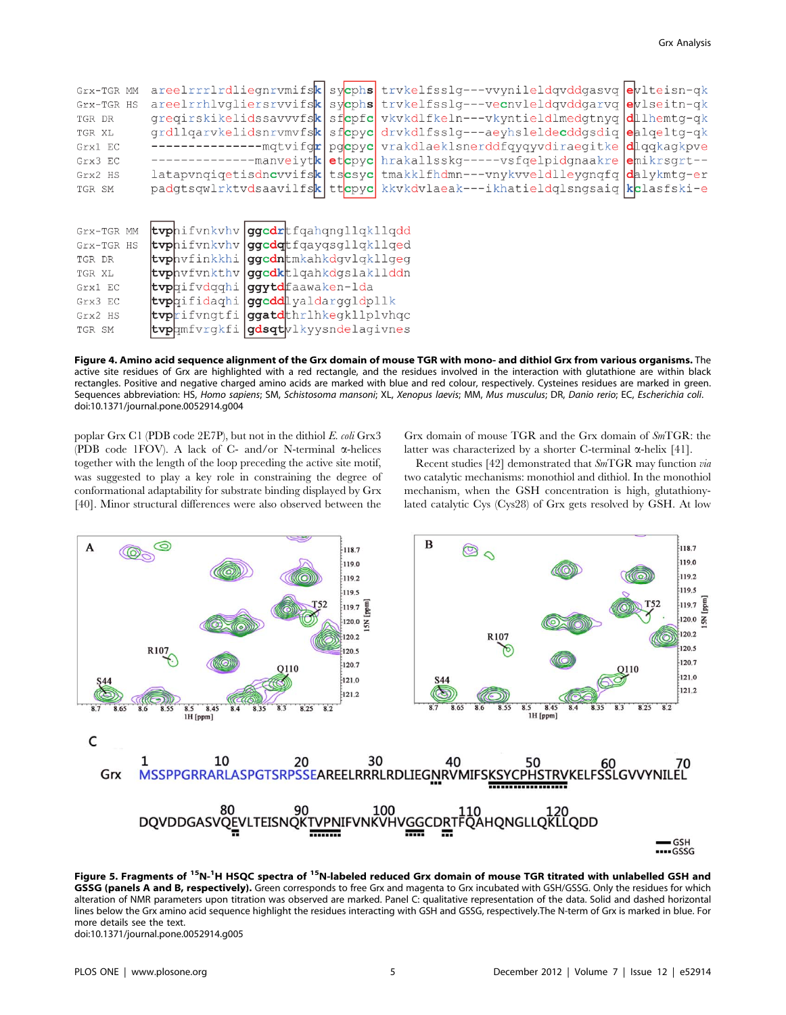| Grx-TGR MM<br>Grx-TGR HS<br>TGR DR<br>TGR XL<br>Grx1 EC<br>Grx3 EC |                                     |                                     |  | areelrrrlrdliegnrvmifsk sycphs trvkelfsslg---vvynileldqvddgasvq evlteisn-qk<br>areelrrhlvgliersrvvifsk sycphs trvkelfsslg---vecnvleldgvddgarvg eviseitn-gk<br>gregirskikelidssavvvfsk sfcpfc vkvkdlfkeln---vkyntieldlmedgtnyg dllhemtg-gk<br>grdllgarvkelidsnrvmvfsk sfcpyc drvkdlfsslg---aeyhsleldecddgsdig ealgeltg-gk<br>-mqtvifqr pqcpyc vrakdlaeklsnerddfqyqyvdiraegitke dlqqkaqkpve<br>-manveiytketcpycehrakallsskg-----vsfqelpidgnaakre ehikrsgrt--<br>latapvnqiqetisdncvvifsk tscsyc tmakklfhdmn---vnykvveldlleygnqfq dalykmtg-er |  |  |
|--------------------------------------------------------------------|-------------------------------------|-------------------------------------|--|-------------------------------------------------------------------------------------------------------------------------------------------------------------------------------------------------------------------------------------------------------------------------------------------------------------------------------------------------------------------------------------------------------------------------------------------------------------------------------------------------------------------------------------------|--|--|
| Grx2 HS<br>TGR SM                                                  |                                     |                                     |  | padgtsqwlrktvdsaavilfsk ttcpyc kkvkdvlaeak---ikhatieldqlsngsaiq kclasfski-e                                                                                                                                                                                                                                                                                                                                                                                                                                                               |  |  |
| Grx-TGR MM                                                         | tvphifvnkvhv ggcdrtfqahqngllqkllqdd |                                     |  |                                                                                                                                                                                                                                                                                                                                                                                                                                                                                                                                           |  |  |
| Grx-TGR HS                                                         |                                     | tvphifynkyhy gocdotfgaygsgllgkllged |  |                                                                                                                                                                                                                                                                                                                                                                                                                                                                                                                                           |  |  |
| TGR DR                                                             |                                     | tvphvfinkkhi gqcdntmkahkdqvlqkllqeq |  |                                                                                                                                                                                                                                                                                                                                                                                                                                                                                                                                           |  |  |
| TGR XL                                                             |                                     | tvphvfvnkthv gocdktlgahkdgslakllddn |  |                                                                                                                                                                                                                                                                                                                                                                                                                                                                                                                                           |  |  |
| Grx1 EC                                                            | tvphifvdqqhi                        | ggytd faawaken-lda                  |  |                                                                                                                                                                                                                                                                                                                                                                                                                                                                                                                                           |  |  |
| Grx3 EC                                                            | tvphifidaghi                        | <b>ggcdd</b> lyaldarggldpllk        |  |                                                                                                                                                                                                                                                                                                                                                                                                                                                                                                                                           |  |  |
| Grx2 HS                                                            |                                     | tvprifvngtfi ggatdthrlhkegkllplvhqc |  |                                                                                                                                                                                                                                                                                                                                                                                                                                                                                                                                           |  |  |
| TGR SM                                                             |                                     | tvphmfvrgkfi gdsqtvlkyysndelagivnes |  |                                                                                                                                                                                                                                                                                                                                                                                                                                                                                                                                           |  |  |

Figure 4. Amino acid sequence alignment of the Grx domain of mouse TGR with mono- and dithiol Grx from various organisms. The active site residues of Grx are highlighted with a red rectangle, and the residues involved in the interaction with glutathione are within black rectangles. Positive and negative charged amino acids are marked with blue and red colour, respectively. Cysteines residues are marked in green. Sequences abbreviation: HS, Homo sapiens; SM, Schistosoma mansoni; XL, Xenopus laevis; MM, Mus musculus; DR, Danio rerio; EC, Escherichia coli. doi:10.1371/journal.pone.0052914.g004

poplar Grx C1 (PDB code 2E7P), but not in the dithiol E. coli Grx3 (PDB code 1FOV). A lack of C- and/or N-terminal  $\alpha$ -helices together with the length of the loop preceding the active site motif, was suggested to play a key role in constraining the degree of conformational adaptability for substrate binding displayed by Grx [40]. Minor structural differences were also observed between the

Grx domain of mouse TGR and the Grx domain of SmTGR: the latter was characterized by a shorter C-terminal  $\alpha$ -helix [41].

Recent studies [42] demonstrated that SmTGR may function via two catalytic mechanisms: monothiol and dithiol. In the monothiol mechanism, when the GSH concentration is high, glutathionylated catalytic Cys (Cys28) of Grx gets resolved by GSH. At low



Figure 5. Fragments of <sup>15</sup>N-<sup>1</sup>H HSQC spectra of <sup>15</sup>N-labeled reduced Grx domain of mouse TGR titrated with unlabelled GSH and GSSG (panels A and B, respectively). Green corresponds to free Grx and magenta to Grx incubated with GSH/GSSG. Only the residues for which alteration of NMR parameters upon titration was observed are marked. Panel C: qualitative representation of the data. Solid and dashed horizontal lines below the Grx amino acid sequence highlight the residues interacting with GSH and GSSG, respectively.The N-term of Grx is marked in blue. For more details see the text. doi:10.1371/journal.pone.0052914.g005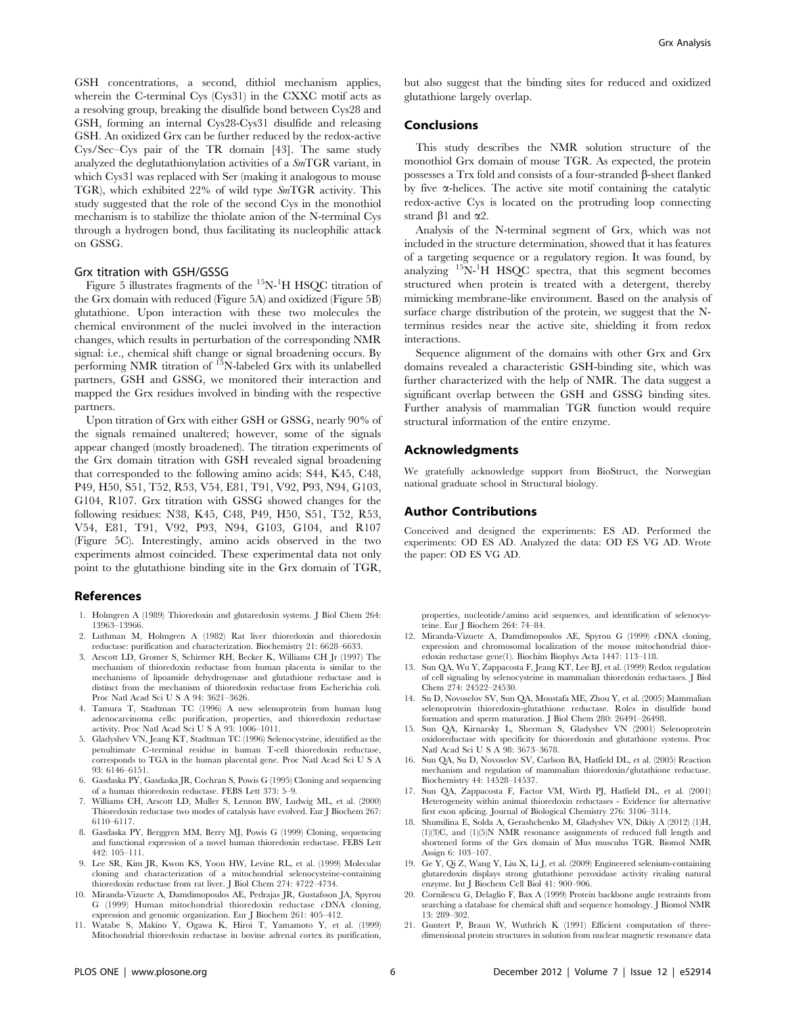GSH concentrations, a second, dithiol mechanism applies, wherein the C-terminal Cys (Cys31) in the CXXC motif acts as a resolving group, breaking the disulfide bond between Cys28 and GSH, forming an internal Cys28-Cys31 disulfide and releasing GSH. An oxidized Grx can be further reduced by the redox-active Cys/Sec–Cys pair of the TR domain [43]. The same study analyzed the deglutathionylation activities of a SmTGR variant, in which Cys31 was replaced with Ser (making it analogous to mouse TGR), which exhibited 22% of wild type SmTGR activity. This study suggested that the role of the second Cys in the monothiol mechanism is to stabilize the thiolate anion of the N-terminal Cys through a hydrogen bond, thus facilitating its nucleophilic attack on GSSG.

#### Grx titration with GSH/GSSG

Figure 5 illustrates fragments of the <sup>15</sup>N-<sup>1</sup>H HSQC titration of the Grx domain with reduced (Figure 5A) and oxidized (Figure 5B) glutathione. Upon interaction with these two molecules the chemical environment of the nuclei involved in the interaction changes, which results in perturbation of the corresponding NMR signal: i.e., chemical shift change or signal broadening occurs. By performing NMR titration of <sup>15</sup>N-labeled Grx with its unlabelled partners, GSH and GSSG, we monitored their interaction and mapped the Grx residues involved in binding with the respective partners.

Upon titration of Grx with either GSH or GSSG, nearly 90% of the signals remained unaltered; however, some of the signals appear changed (mostly broadened). The titration experiments of the Grx domain titration with GSH revealed signal broadening that corresponded to the following amino acids: S44, K45, C48, P49, H50, S51, T52, R53, V54, E81, T91, V92, P93, N94, G103, G104, R107. Grx titration with GSSG showed changes for the following residues: N38, K45, C48, P49, H50, S51, T52, R53, V54, E81, T91, V92, P93, N94, G103, G104, and R107 (Figure 5C). Interestingly, amino acids observed in the two experiments almost coincided. These experimental data not only point to the glutathione binding site in the Grx domain of TGR,

#### References

- 1. Holmgren A (1989) Thioredoxin and glutaredoxin systems. J Biol Chem 264: 13963–13966.
- 2. Luthman M, Holmgren A (1982) Rat liver thioredoxin and thioredoxin reductase: purification and characterization. Biochemistry 21: 6628–6633.
- 3. Arscott LD, Gromer S, Schirmer RH, Becker K, Williams CH Jr (1997) The mechanism of thioredoxin reductase from human placenta is similar to the mechanisms of lipoamide dehydrogenase and glutathione reductase and is distinct from the mechanism of thioredoxin reductase from Escherichia coli. Proc Natl Acad Sci U S A 94: 3621–3626.
- 4. Tamura T, Stadtman TC (1996) A new selenoprotein from human lung adenocarcinoma cells: purification, properties, and thioredoxin reductase activity. Proc Natl Acad Sci U S A 93: 1006–1011.
- 5. Gladyshev VN, Jeang KT, Stadtman TC (1996) Selenocysteine, identified as the penultimate C-terminal residue in human T-cell thioredoxin reductase, corresponds to TGA in the human placental gene. Proc Natl Acad Sci U S A 93: 6146–6151.
- 6. Gasdaska PY, Gasdaska JR, Cochran S, Powis G (1995) Cloning and sequencing of a human thioredoxin reductase. FEBS Lett 373: 5–9.
- 7. Williams CH, Arscott LD, Muller S, Lennon BW, Ludwig ML, et al. (2000) Thioredoxin reductase two modes of catalysis have evolved. Eur J Biochem 267: 6110–6117.
- 8. Gasdaska PY, Berggren MM, Berry MJ, Powis G (1999) Cloning, sequencing and functional expression of a novel human thioredoxin reductase. FEBS Lett 442: 105–111.
- 9. Lee SR, Kim JR, Kwon KS, Yoon HW, Levine RL, et al. (1999) Molecular cloning and characterization of a mitochondrial selenocysteine-containing thioredoxin reductase from rat liver. J Biol Chem 274: 4722–4734.
- 10. Miranda-Vizuete A, Damdimopoulos AE, Pedrajas JR, Gustafsson JA, Spyrou G (1999) Human mitochondrial thioredoxin reductase cDNA cloning, expression and genomic organization. Eur J Biochem 261: 405–412.
- 11. Watabe S, Makino Y, Ogawa K, Hiroi T, Yamamoto Y, et al. (1999) Mitochondrial thioredoxin reductase in bovine adrenal cortex its purification,

but also suggest that the binding sites for reduced and oxidized glutathione largely overlap.

#### Conclusions

This study describes the NMR solution structure of the monothiol Grx domain of mouse TGR. As expected, the protein possesses a Trx fold and consists of a four-stranded  $\beta$ -sheet flanked by five a-helices. The active site motif containing the catalytic redox-active Cys is located on the protruding loop connecting strand  $\beta$ 1 and  $\alpha$ 2.

Analysis of the N-terminal segment of Grx, which was not included in the structure determination, showed that it has features of a targeting sequence or a regulatory region. It was found, by analyzing  ${}^{15}N-{}^{1}\dot{H}$  HSQC spectra, that this segment becomes structured when protein is treated with a detergent, thereby mimicking membrane-like environment. Based on the analysis of surface charge distribution of the protein, we suggest that the Nterminus resides near the active site, shielding it from redox interactions.

Sequence alignment of the domains with other Grx and Grx domains revealed a characteristic GSH-binding site, which was further characterized with the help of NMR. The data suggest a significant overlap between the GSH and GSSG binding sites. Further analysis of mammalian TGR function would require structural information of the entire enzyme.

## Acknowledgments

We gratefully acknowledge support from BioStruct, the Norwegian national graduate school in Structural biology.

## Author Contributions

Conceived and designed the experiments: ES AD. Performed the experiments: OD ES AD. Analyzed the data: OD ES VG AD. Wrote the paper: OD ES VG AD.

properties, nucleotide/amino acid sequences, and identification of selenocysteine. Eur J Biochem 264: 74–84.

- 12. Miranda-Vizuete A, Damdimopoulos AE, Spyrou G (1999) cDNA cloning, expression and chromosomal localization of the mouse mitochondrial thioredoxin reductase gene(1). Biochim Biophys Acta 1447: 113–118.
- 13. Sun QA, Wu Y, Zappacosta F, Jeang KT, Lee BJ, et al. (1999) Redox regulation of cell signaling by selenocysteine in mammalian thioredoxin reductases. J Biol Chem 274: 24522–24530.
- 14. Su D, Novoselov SV, Sun QA, Moustafa ME, Zhou Y, et al. (2005) Mammalian selenoprotein thioredoxin-glutathione reductase. Roles in disulfide bond formation and sperm maturation. J Biol Chem 280: 26491–26498.
- 15. Sun QA, Kirnarsky L, Sherman S, Gladyshev VN (2001) Selenoprotein oxidoreductase with specificity for thioredoxin and glutathione systems. Proc Natl Acad Sci U S A 98: 3673–3678.
- 16. Sun QA, Su D, Novoselov SV, Carlson BA, Hatfield DL, et al. (2005) Reaction mechanism and regulation of mammalian thioredoxin/glutathione reductase. Biochemistry 44: 14528–14537.
- Sun QA, Zappacosta F, Factor VM, Wirth PJ, Hatfield DL, et al. (2001) Heterogeneity within animal thioredoxin reductases - Evidence for alternative first exon splicing. Journal of Biological Chemistry 276: 3106–3114.
- 18. Shumilina E, Solda A, Gerashchenko M, Gladyshev VN, Dikiy A (2012) (1)H, (1)(3)C, and (1)(5)N NMR resonance assignments of reduced full length and shortened forms of the Grx domain of Mus musculus TGR. Biomol NMR Assign 6: 103-107.
- 19. Ge  $\check{Y}$ , Qi Z, Wang Y, Liu X, Li J, et al. (2009) Engineered selenium-containing glutaredoxin displays strong glutathione peroxidase activity rivaling natural enzyme. Int J Biochem Cell Biol 41: 900–906.
- 20. Cornilescu G, Delaglio F, Bax A (1999) Protein backbone angle restraints from searching a database for chemical shift and sequence homology. J Biomol NMR 13: 289–302.
- 21. Guntert P, Braun W, Wuthrich K (1991) Efficient computation of threedimensional protein structures in solution from nuclear magnetic resonance data